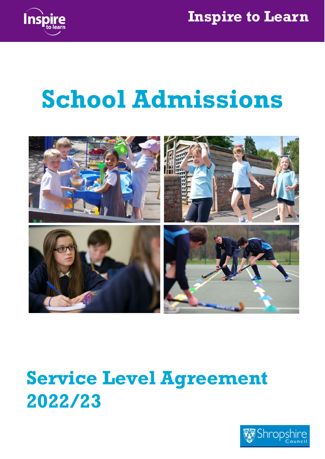

# School Admissions



# Service Level Agreement 2022/23

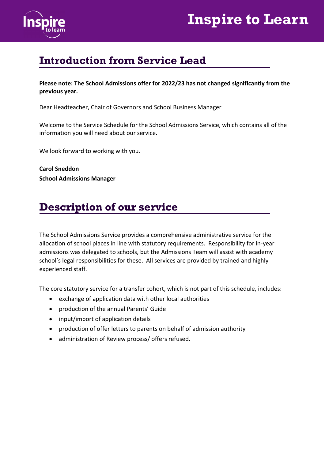



### Introduction from Service Lead

Please note: The School Admissions offer for 2022/23 has not changed significantly from the previous year.

Dear Headteacher, Chair of Governors and School Business Manager

Welcome to the Service Schedule for the School Admissions Service, which contains all of the information you will need about our service.

We look forward to working with you.

Carol Sneddon School Admissions Manager

### Description of our service

The School Admissions Service provides a comprehensive administrative service for the allocation of school places in line with statutory requirements. Responsibility for in-year admissions was delegated to schools, but the Admissions Team will assist with academy school's legal responsibilities for these. All services are provided by trained and highly experienced staff.

The core statutory service for a transfer cohort, which is not part of this schedule, includes:

- exchange of application data with other local authorities
- production of the annual Parents' Guide
- input/import of application details
- production of offer letters to parents on behalf of admission authority
- administration of Review process/ offers refused.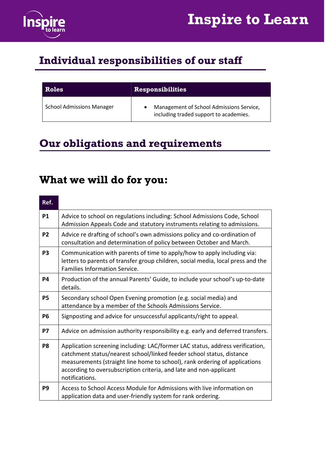

### Individual responsibilities of our staff

| <b>Roles</b>                     | <b>Responsibilities</b>                                                            |  |
|----------------------------------|------------------------------------------------------------------------------------|--|
| <b>School Admissions Manager</b> | Management of School Admissions Service,<br>including traded support to academies. |  |

### Our obligations and requirements

### What we will do for you:

| Ref.           |                                                                                                                                                                                                                                                                                                                              |
|----------------|------------------------------------------------------------------------------------------------------------------------------------------------------------------------------------------------------------------------------------------------------------------------------------------------------------------------------|
| <b>P1</b>      | Advice to school on regulations including: School Admissions Code, School<br>Admission Appeals Code and statutory instruments relating to admissions.                                                                                                                                                                        |
| P <sub>2</sub> | Advice re drafting of school's own admissions policy and co-ordination of<br>consultation and determination of policy between October and March.                                                                                                                                                                             |
| P <sub>3</sub> | Communication with parents of time to apply/how to apply including via:<br>letters to parents of transfer group children, social media, local press and the<br><b>Families Information Service.</b>                                                                                                                          |
| P4             | Production of the annual Parents' Guide, to include your school's up-to-date<br>details.                                                                                                                                                                                                                                     |
| P <sub>5</sub> | Secondary school Open Evening promotion (e.g. social media) and<br>attendance by a member of the Schools Admissions Service.                                                                                                                                                                                                 |
| P <sub>6</sub> | Signposting and advice for unsuccessful applicants/right to appeal.                                                                                                                                                                                                                                                          |
| <b>P7</b>      | Advice on admission authority responsibility e.g. early and deferred transfers.                                                                                                                                                                                                                                              |
| P8             | Application screening including: LAC/former LAC status, address verification,<br>catchment status/nearest school/linked feeder school status, distance<br>measurements (straight line home to school), rank ordering of applications<br>according to oversubscription criteria, and late and non-applicant<br>notifications. |
| P <sub>9</sub> | Access to School Access Module for Admissions with live information on<br>application data and user-friendly system for rank ordering.                                                                                                                                                                                       |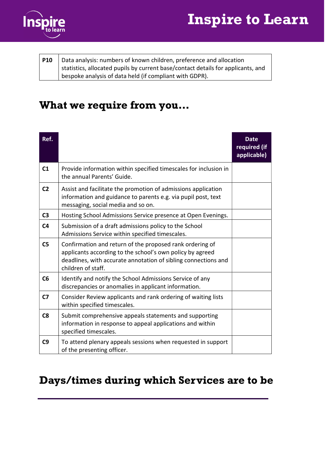



| <b>P10</b> | Data analysis: numbers of known children, preference and allocation              |  |
|------------|----------------------------------------------------------------------------------|--|
|            | statistics, allocated pupils by current base/contact details for applicants, and |  |
|            | bespoke analysis of data held (if compliant with GDPR).                          |  |

### What we require from you…

| Ref.           |                                                                                                                                                                                                               | <b>Date</b><br>required (if<br>applicable) |
|----------------|---------------------------------------------------------------------------------------------------------------------------------------------------------------------------------------------------------------|--------------------------------------------|
| C <sub>1</sub> | Provide information within specified timescales for inclusion in<br>the annual Parents' Guide.                                                                                                                |                                            |
| C <sub>2</sub> | Assist and facilitate the promotion of admissions application<br>information and guidance to parents e.g. via pupil post, text<br>messaging, social media and so on.                                          |                                            |
| C <sub>3</sub> | Hosting School Admissions Service presence at Open Evenings.                                                                                                                                                  |                                            |
| C <sub>4</sub> | Submission of a draft admissions policy to the School<br>Admissions Service within specified timescales.                                                                                                      |                                            |
| C <sub>5</sub> | Confirmation and return of the proposed rank ordering of<br>applicants according to the school's own policy by agreed<br>deadlines, with accurate annotation of sibling connections and<br>children of staff. |                                            |
| C6             | Identify and notify the School Admissions Service of any<br>discrepancies or anomalies in applicant information.                                                                                              |                                            |
| C <sub>7</sub> | Consider Review applicants and rank ordering of waiting lists<br>within specified timescales.                                                                                                                 |                                            |
| C8             | Submit comprehensive appeals statements and supporting<br>information in response to appeal applications and within<br>specified timescales.                                                                  |                                            |
| C9             | To attend plenary appeals sessions when requested in support<br>of the presenting officer.                                                                                                                    |                                            |

### Days/times during which Services are to be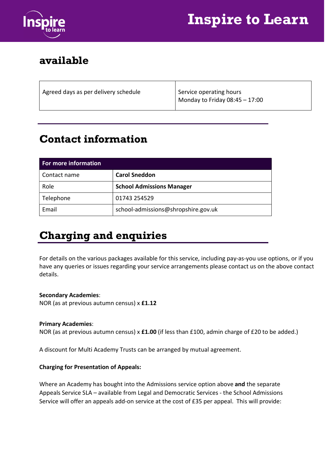

## Inspire to Learn

### available

| Agreed days as per delivery schedule | Service operating hours          |
|--------------------------------------|----------------------------------|
|                                      | Monday to Friday $08:45 - 17:00$ |
|                                      |                                  |

### Contact information

| <b>For more information</b> |                                     |  |
|-----------------------------|-------------------------------------|--|
| Contact name                | <b>Carol Sneddon</b>                |  |
| Role                        | <b>School Admissions Manager</b>    |  |
| Telephone                   | 01743 254529                        |  |
| Email                       | school-admissions@shropshire.gov.uk |  |

### Charging and enquiries

For details on the various packages available for this service, including pay-as-you use options, or if you have any queries or issues regarding your service arrangements please contact us on the above contact details.

#### Secondary Academies:

NOR (as at previous autumn census) x £1.12

#### Primary Academies:

NOR (as at previous autumn census) x **£1.00** (if less than £100, admin charge of £20 to be added.)

A discount for Multi Academy Trusts can be arranged by mutual agreement.

#### Charging for Presentation of Appeals:

Where an Academy has bought into the Admissions service option above and the separate Appeals Service SLA – available from Legal and Democratic Services - the School Admissions Service will offer an appeals add-on service at the cost of £35 per appeal. This will provide: